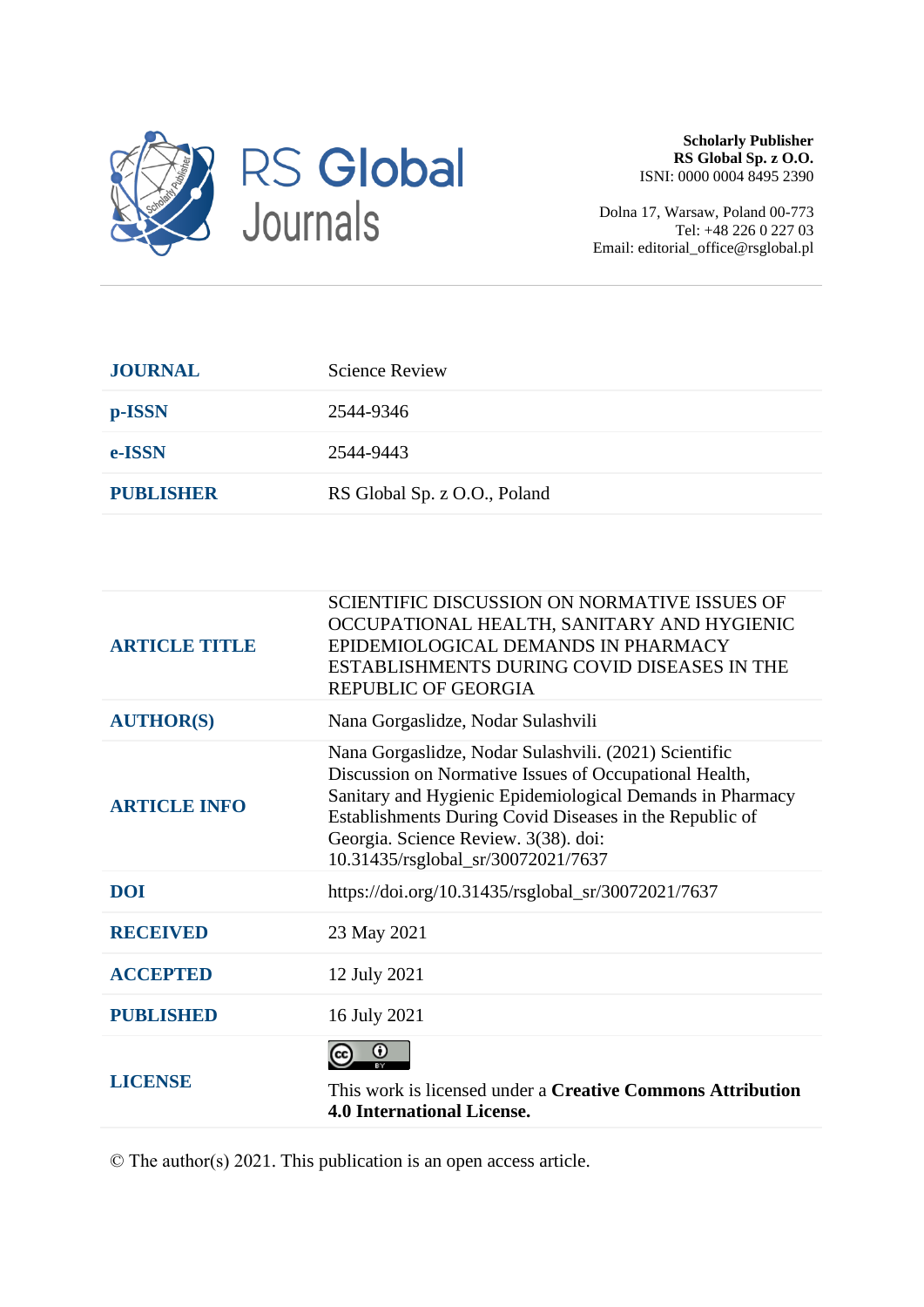

**Scholarly Publisher RS Global Sp. z O.O.** ISNI: 0000 0004 8495 2390

Dolna 17, Warsaw, Poland 00-773 Tel: +48 226 0 227 03 Email: editorial\_office@rsglobal.pl

| <b>JOURNAL</b>   | <b>Science Review</b>        |
|------------------|------------------------------|
| p-ISSN           | 2544-9346                    |
| e-ISSN           | 2544-9443                    |
| <b>PUBLISHER</b> | RS Global Sp. z O.O., Poland |

| <b>ARTICLE TITLE</b> | SCIENTIFIC DISCUSSION ON NORMATIVE ISSUES OF<br>OCCUPATIONAL HEALTH, SANITARY AND HYGIENIC<br>EPIDEMIOLOGICAL DEMANDS IN PHARMACY<br>ESTABLISHMENTS DURING COVID DISEASES IN THE<br><b>REPUBLIC OF GEORGIA</b>                                                                                                        |
|----------------------|-----------------------------------------------------------------------------------------------------------------------------------------------------------------------------------------------------------------------------------------------------------------------------------------------------------------------|
| <b>AUTHOR(S)</b>     | Nana Gorgaslidze, Nodar Sulashvili                                                                                                                                                                                                                                                                                    |
| <b>ARTICLE INFO</b>  | Nana Gorgaslidze, Nodar Sulashvili. (2021) Scientific<br>Discussion on Normative Issues of Occupational Health,<br>Sanitary and Hygienic Epidemiological Demands in Pharmacy<br>Establishments During Covid Diseases in the Republic of<br>Georgia. Science Review. 3(38). doi:<br>10.31435/rsglobal_sr/30072021/7637 |
| <b>DOI</b>           | https://doi.org/10.31435/rsglobal_sr/30072021/7637                                                                                                                                                                                                                                                                    |
| <b>RECEIVED</b>      | 23 May 2021                                                                                                                                                                                                                                                                                                           |
| <b>ACCEPTED</b>      | 12 July 2021                                                                                                                                                                                                                                                                                                          |
| <b>PUBLISHED</b>     | 16 July 2021                                                                                                                                                                                                                                                                                                          |
| <b>LICENSE</b>       | ω<br>This work is licensed under a <b>Creative Commons Attribution</b><br><b>4.0 International License.</b>                                                                                                                                                                                                           |
|                      |                                                                                                                                                                                                                                                                                                                       |

© The author(s) 2021. This publication is an open access article.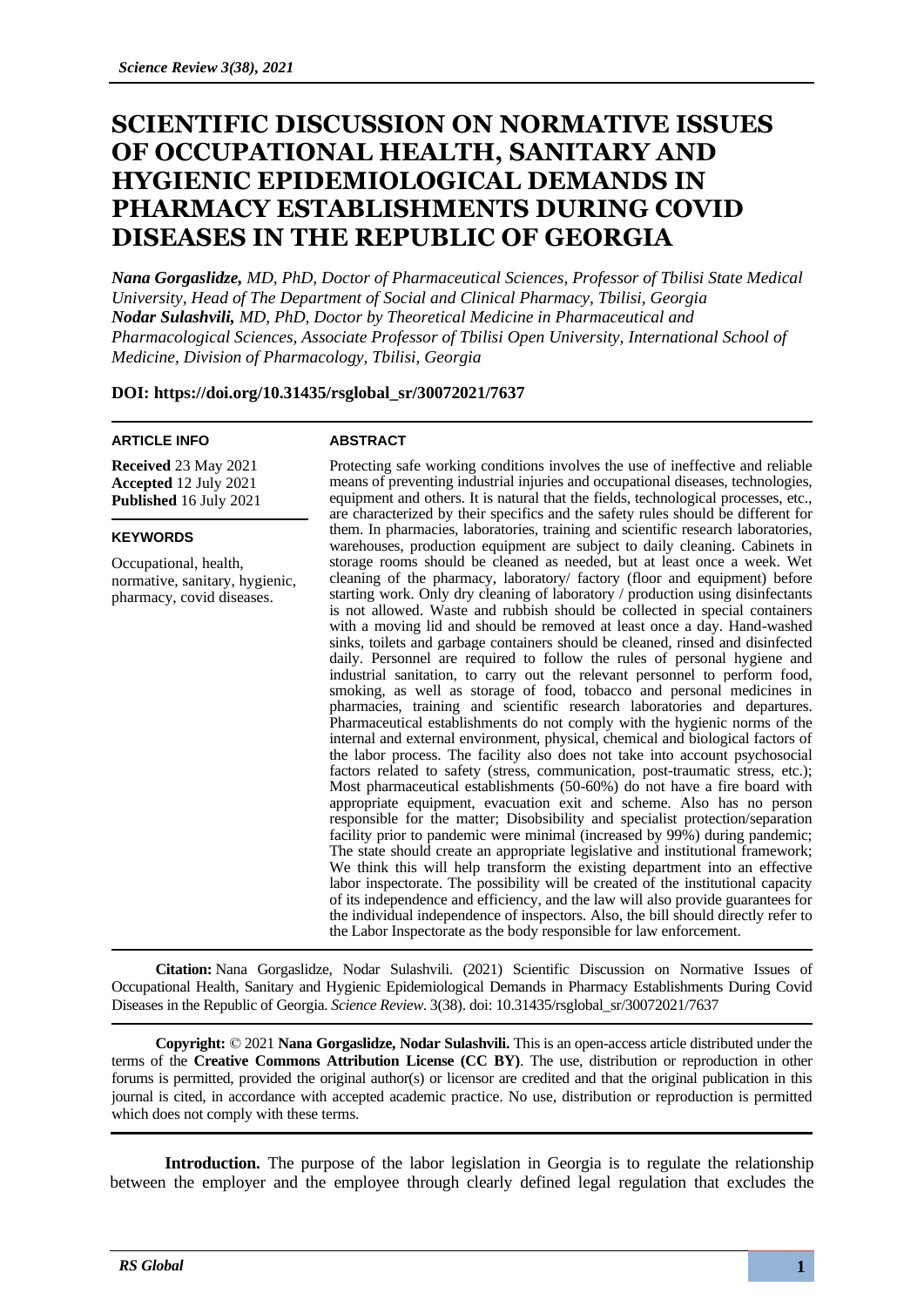# **SCIENTIFIC DISCUSSION ON NORMATIVE ISSUES OF OCCUPATIONAL HEALTH, SANITARY AND HYGIENIC EPIDEMIOLOGICAL DEMANDS IN PHARMACY ESTABLISHMENTS DURING COVID DISEASES IN THE REPUBLIC OF GEORGIA**

*Nana Gorgaslidze, MD, PhD, Doctor of Pharmaceutical Sciences, Professor of Tbilisi State Medical University, Head of The Department of Social and Clinical Pharmacy, Tbilisi, Georgia Nodar Sulashvili, MD, PhD, Doctor by Theoretical Medicine in Pharmaceutical and Pharmacological Sciences, Associate Professor of Tbilisi Open University, International School of Medicine, Division of Pharmacology, Tbilisi, Georgia*

**DOI: https://doi.org/10.31435/rsglobal\_sr/30072021/7637**

#### **ARTICLE INFO**

**Received** 23 May 2021 **Accepted** 12 July 2021 **Published** 16 July 2021

### **KEYWORDS**

Occupational, health, normative, sanitary, hygienic, pharmacy, covid diseases.

#### **ABSTRACT**

Protecting safe working conditions involves the use of ineffective and reliable means of preventing industrial injuries and occupational diseases, technologies, equipment and others. It is natural that the fields, technological processes, etc., are characterized by their specifics and the safety rules should be different for them. In pharmacies, laboratories, training and scientific research laboratories, warehouses, production equipment are subject to daily cleaning. Cabinets in storage rooms should be cleaned as needed, but at least once a week. Wet cleaning of the pharmacy, laboratory/ factory (floor and equipment) before starting work. Only dry cleaning of laboratory / production using disinfectants is not allowed. Waste and rubbish should be collected in special containers with a moving lid and should be removed at least once a day. Hand-washed sinks, toilets and garbage containers should be cleaned, rinsed and disinfected daily. Personnel are required to follow the rules of personal hygiene and industrial sanitation, to carry out the relevant personnel to perform food, smoking, as well as storage of food, tobacco and personal medicines in pharmacies, training and scientific research laboratories and departures. Pharmaceutical establishments do not comply with the hygienic norms of the internal and external environment, physical, chemical and biological factors of the labor process. The facility also does not take into account psychosocial factors related to safety (stress, communication, post-traumatic stress, etc.); Most pharmaceutical establishments (50-60%) do not have a fire board with appropriate equipment, evacuation exit and scheme. Also has no person responsible for the matter; Disobsibility and specialist protection/separation facility prior to pandemic were minimal (increased by 99%) during pandemic; The state should create an appropriate legislative and institutional framework; We think this will help transform the existing department into an effective labor inspectorate. The possibility will be created of the institutional capacity of its independence and efficiency, and the law will also provide guarantees for the individual independence of inspectors. Also, the bill should directly refer to the Labor Inspectorate as the body responsible for law enforcement.

**Citation:** Nana Gorgaslidze, Nodar Sulashvili. (2021) Scientific Discussion on Normative Issues of Occupational Health, Sanitary and Hygienic Epidemiological Demands in Pharmacy Establishments During Covid Diseases in the Republic of Georgia. *Science Review*. 3(38). doi: 10.31435/rsglobal\_sr/30072021/7637

**Copyright:** © 2021 **Nana Gorgaslidze, Nodar Sulashvili.** This is an open-access article distributed under the terms of the **Creative Commons Attribution License (CC BY)**. The use, distribution or reproduction in other forums is permitted, provided the original author(s) or licensor are credited and that the original publication in this journal is cited, in accordance with accepted academic practice. No use, distribution or reproduction is permitted which does not comply with these terms.

**Introduction.** The purpose of the labor legislation in Georgia is to regulate the relationship between the employer and the employee through clearly defined legal regulation that excludes the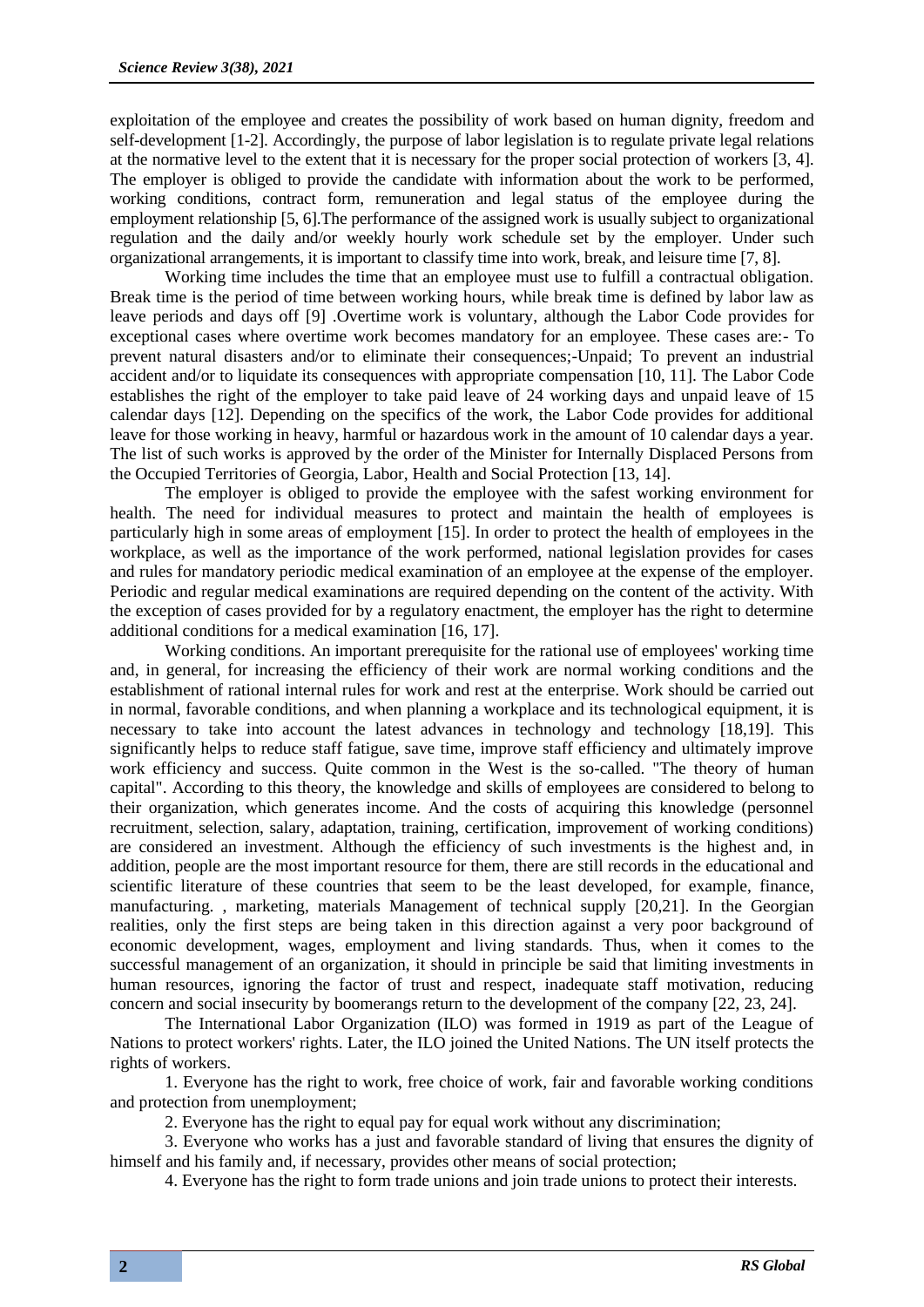exploitation of the employee and creates the possibility of work based on human dignity, freedom and self-development [1-2]. Accordingly, the purpose of labor legislation is to regulate private legal relations at the normative level to the extent that it is necessary for the proper social protection of workers [3, 4]. The employer is obliged to provide the candidate with information about the work to be performed, working conditions, contract form, remuneration and legal status of the employee during the employment relationship [5, 6].The performance of the assigned work is usually subject to organizational regulation and the daily and/or weekly hourly work schedule set by the employer. Under such organizational arrangements, it is important to classify time into work, break, and leisure time [7, 8].

Working time includes the time that an employee must use to fulfill a contractual obligation. Break time is the period of time between working hours, while break time is defined by labor law as leave periods and days off [9] .Overtime work is voluntary, although the Labor Code provides for exceptional cases where overtime work becomes mandatory for an employee. These cases are:- To prevent natural disasters and/or to eliminate their consequences;-Unpaid; To prevent an industrial accident and/or to liquidate its consequences with appropriate compensation [10, 11]. The Labor Code establishes the right of the employer to take paid leave of 24 working days and unpaid leave of 15 calendar days [12]. Depending on the specifics of the work, the Labor Code provides for additional leave for those working in heavy, harmful or hazardous work in the amount of 10 calendar days a year. The list of such works is approved by the order of the Minister for Internally Displaced Persons from the Occupied Territories of Georgia, Labor, Health and Social Protection [13, 14].

The employer is obliged to provide the employee with the safest working environment for health. The need for individual measures to protect and maintain the health of employees is particularly high in some areas of employment [15]. In order to protect the health of employees in the workplace, as well as the importance of the work performed, national legislation provides for cases and rules for mandatory periodic medical examination of an employee at the expense of the employer. Periodic and regular medical examinations are required depending on the content of the activity. With the exception of cases provided for by a regulatory enactment, the employer has the right to determine additional conditions for a medical examination [16, 17].

Working conditions. An important prerequisite for the rational use of employees' working time and, in general, for increasing the efficiency of their work are normal working conditions and the establishment of rational internal rules for work and rest at the enterprise. Work should be carried out in normal, favorable conditions, and when planning a workplace and its technological equipment, it is necessary to take into account the latest advances in technology and technology [18,19]. This significantly helps to reduce staff fatigue, save time, improve staff efficiency and ultimately improve work efficiency and success. Quite common in the West is the so-called. "The theory of human capital". According to this theory, the knowledge and skills of employees are considered to belong to their organization, which generates income. And the costs of acquiring this knowledge (personnel recruitment, selection, salary, adaptation, training, certification, improvement of working conditions) are considered an investment. Although the efficiency of such investments is the highest and, in addition, people are the most important resource for them, there are still records in the educational and scientific literature of these countries that seem to be the least developed, for example, finance, manufacturing. , marketing, materials Management of technical supply [20,21]. In the Georgian realities, only the first steps are being taken in this direction against a very poor background of economic development, wages, employment and living standards. Thus, when it comes to the successful management of an organization, it should in principle be said that limiting investments in human resources, ignoring the factor of trust and respect, inadequate staff motivation, reducing concern and social insecurity by boomerangs return to the development of the company [22, 23, 24].

The International Labor Organization (ILO) was formed in 1919 as part of the League of Nations to protect workers' rights. Later, the ILO joined the United Nations. The UN itself protects the rights of workers.

1. Everyone has the right to work, free choice of work, fair and favorable working conditions and protection from unemployment;

2. Everyone has the right to equal pay for equal work without any discrimination;

3. Everyone who works has a just and favorable standard of living that ensures the dignity of himself and his family and, if necessary, provides other means of social protection;

4. Everyone has the right to form trade unions and join trade unions to protect their interests.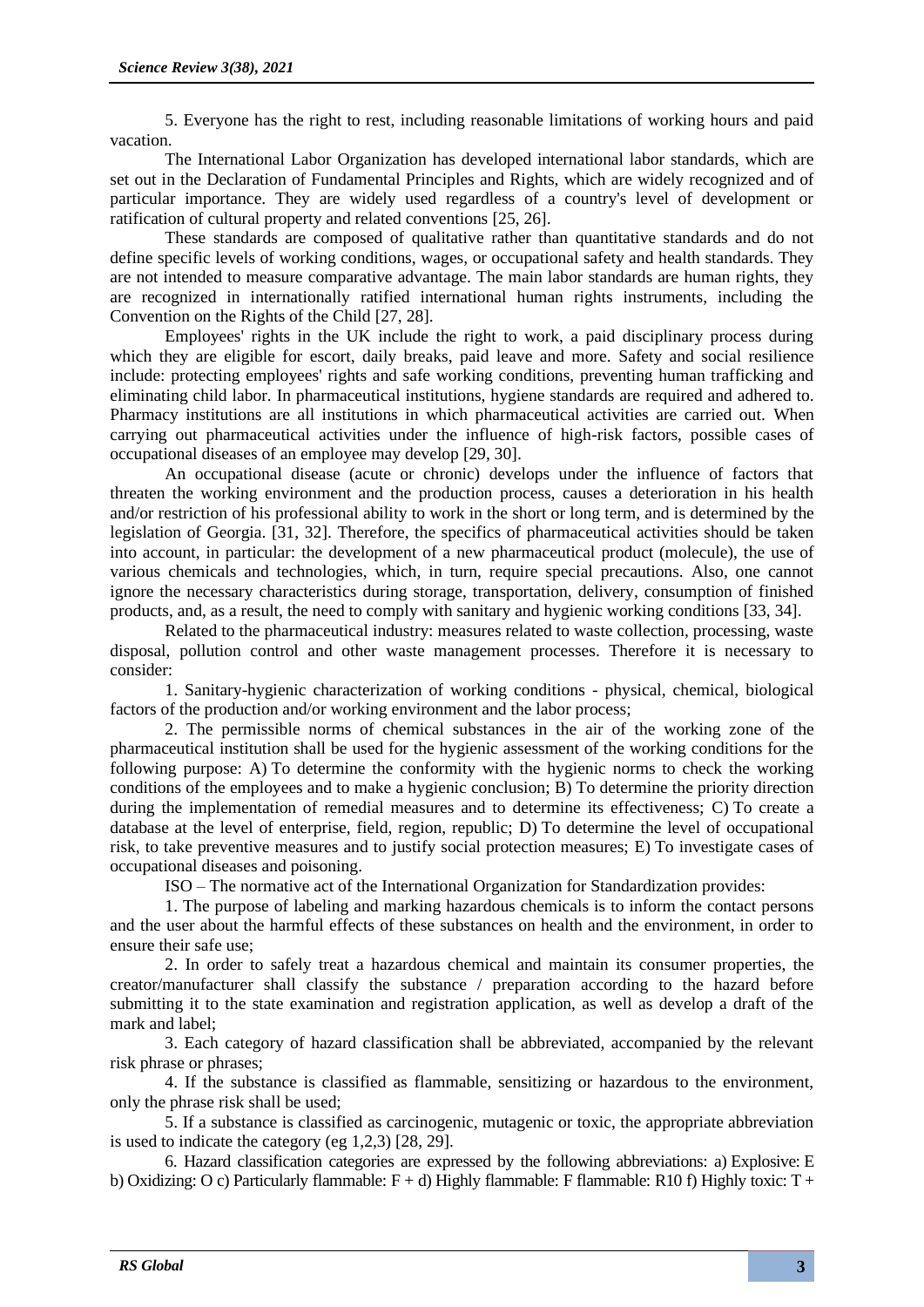5. Everyone has the right to rest, including reasonable limitations of working hours and paid vacation.

The International Labor Organization has developed international labor standards, which are set out in the Declaration of Fundamental Principles and Rights, which are widely recognized and of particular importance. They are widely used regardless of a country's level of development or ratification of cultural property and related conventions [25, 26].

These standards are composed of qualitative rather than quantitative standards and do not define specific levels of working conditions, wages, or occupational safety and health standards. They are not intended to measure comparative advantage. The main labor standards are human rights, they are recognized in internationally ratified international human rights instruments, including the Convention on the Rights of the Child [27, 28].

Employees' rights in the UK include the right to work, a paid disciplinary process during which they are eligible for escort, daily breaks, paid leave and more. Safety and social resilience include: protecting employees' rights and safe working conditions, preventing human trafficking and eliminating child labor. In pharmaceutical institutions, hygiene standards are required and adhered to. Pharmacy institutions are all institutions in which pharmaceutical activities are carried out. When carrying out pharmaceutical activities under the influence of high-risk factors, possible cases of occupational diseases of an employee may develop [29, 30].

An occupational disease (acute or chronic) develops under the influence of factors that threaten the working environment and the production process, causes a deterioration in his health and/or restriction of his professional ability to work in the short or long term, and is determined by the legislation of Georgia. [31, 32]. Therefore, the specifics of pharmaceutical activities should be taken into account, in particular: the development of a new pharmaceutical product (molecule), the use of various chemicals and technologies, which, in turn, require special precautions. Also, one cannot ignore the necessary characteristics during storage, transportation, delivery, consumption of finished products, and, as a result, the need to comply with sanitary and hygienic working conditions [33, 34].

Related to the pharmaceutical industry: measures related to waste collection, processing, waste disposal, pollution control and other waste management processes. Therefore it is necessary to consider:

1. Sanitary-hygienic characterization of working conditions - physical, chemical, biological factors of the production and/or working environment and the labor process;

2. The permissible norms of chemical substances in the air of the working zone of the pharmaceutical institution shall be used for the hygienic assessment of the working conditions for the following purpose: A) To determine the conformity with the hygienic norms to check the working conditions of the employees and to make a hygienic conclusion; B) To determine the priority direction during the implementation of remedial measures and to determine its effectiveness; C) To create a database at the level of enterprise, field, region, republic; D) To determine the level of occupational risk, to take preventive measures and to justify social protection measures; E) To investigate cases of occupational diseases and poisoning.

ISO – The normative act of the International Organization for Standardization provides:

1. The purpose of labeling and marking hazardous chemicals is to inform the contact persons and the user about the harmful effects of these substances on health and the environment, in order to ensure their safe use;

2. In order to safely treat a hazardous chemical and maintain its consumer properties, the creator/manufacturer shall classify the substance / preparation according to the hazard before submitting it to the state examination and registration application, as well as develop a draft of the mark and label;

3. Each category of hazard classification shall be abbreviated, accompanied by the relevant risk phrase or phrases;

4. If the substance is classified as flammable, sensitizing or hazardous to the environment, only the phrase risk shall be used;

5. If a substance is classified as carcinogenic, mutagenic or toxic, the appropriate abbreviation is used to indicate the category (eg 1,2,3) [28, 29].

6. Hazard classification categories are expressed by the following abbreviations: a) Explosive: E b) Oxidizing: O c) Particularly flammable:  $F + d$ ) Highly flammable: F flammable: R10 f) Highly toxic: T +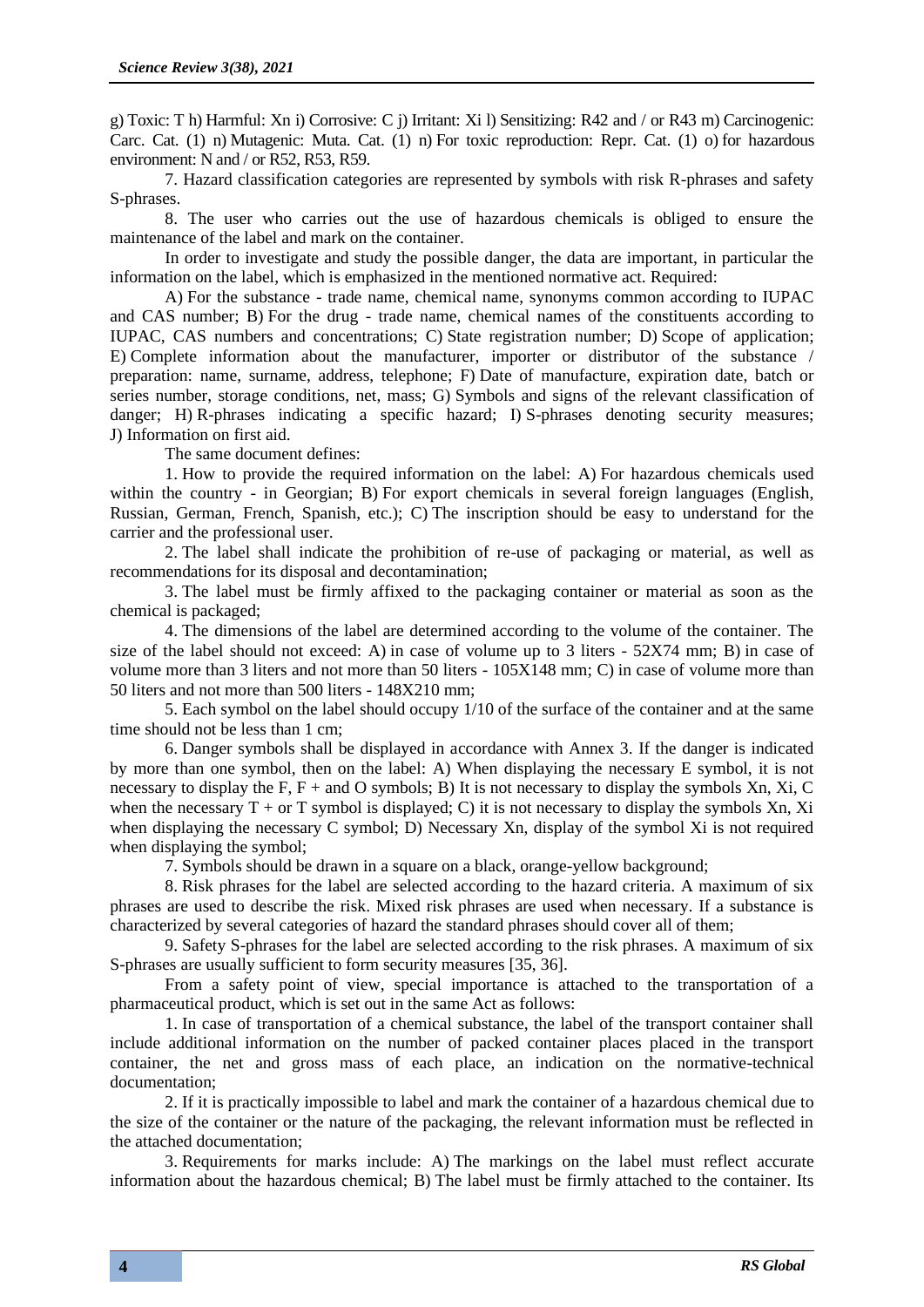g) Toxic: T h) Harmful: Xn i) Corrosive: C j) Irritant: Xi l) Sensitizing: R42 and / or R43 m) Carcinogenic: Carc. Cat. (1) n) Mutagenic: Muta. Cat. (1) n) For toxic reproduction: Repr. Cat. (1) o) for hazardous environment: N and / or R52, R53, R59.

7. Hazard classification categories are represented by symbols with risk R-phrases and safety S-phrases.

8. The user who carries out the use of hazardous chemicals is obliged to ensure the maintenance of the label and mark on the container.

In order to investigate and study the possible danger, the data are important, in particular the information on the label, which is emphasized in the mentioned normative act. Required:

A) For the substance - trade name, chemical name, synonyms common according to IUPAC and CAS number; B) For the drug - trade name, chemical names of the constituents according to IUPAC, CAS numbers and concentrations; C) State registration number; D) Scope of application; E) Complete information about the manufacturer, importer or distributor of the substance / preparation: name, surname, address, telephone; F) Date of manufacture, expiration date, batch or series number, storage conditions, net, mass; G) Symbols and signs of the relevant classification of danger; H) R-phrases indicating a specific hazard; I) S-phrases denoting security measures; J) Information on first aid.

The same document defines:

1. How to provide the required information on the label: A) For hazardous chemicals used within the country - in Georgian; B) For export chemicals in several foreign languages (English, Russian, German, French, Spanish, etc.); C) The inscription should be easy to understand for the carrier and the professional user.

2. The label shall indicate the prohibition of re-use of packaging or material, as well as recommendations for its disposal and decontamination;

3. The label must be firmly affixed to the packaging container or material as soon as the chemical is packaged;

4. The dimensions of the label are determined according to the volume of the container. The size of the label should not exceed: A) in case of volume up to 3 liters - 52X74 mm; B) in case of volume more than 3 liters and not more than 50 liters - 105X148 mm; C) in case of volume more than 50 liters and not more than 500 liters - 148X210 mm;

5. Each symbol on the label should occupy 1/10 of the surface of the container and at the same time should not be less than 1 cm;

6. Danger symbols shall be displayed in accordance with Annex 3. If the danger is indicated by more than one symbol, then on the label: A) When displaying the necessary E symbol, it is not necessary to display the F, F + and O symbols; B) It is not necessary to display the symbols Xn, Xi, C when the necessary  $T + or T$  symbol is displayed; C) it is not necessary to display the symbols Xn, Xi when displaying the necessary C symbol; D) Necessary Xn, display of the symbol Xi is not required when displaying the symbol;

7. Symbols should be drawn in a square on a black, orange-yellow background;

8. Risk phrases for the label are selected according to the hazard criteria. A maximum of six phrases are used to describe the risk. Mixed risk phrases are used when necessary. If a substance is characterized by several categories of hazard the standard phrases should cover all of them;

9. Safety S-phrases for the label are selected according to the risk phrases. A maximum of six S-phrases are usually sufficient to form security measures [35, 36].

From a safety point of view, special importance is attached to the transportation of a pharmaceutical product, which is set out in the same Act as follows:

1. In case of transportation of a chemical substance, the label of the transport container shall include additional information on the number of packed container places placed in the transport container, the net and gross mass of each place, an indication on the normative-technical documentation;

2. If it is practically impossible to label and mark the container of a hazardous chemical due to the size of the container or the nature of the packaging, the relevant information must be reflected in the attached documentation;

3. Requirements for marks include: A) The markings on the label must reflect accurate information about the hazardous chemical; B) The label must be firmly attached to the container. Its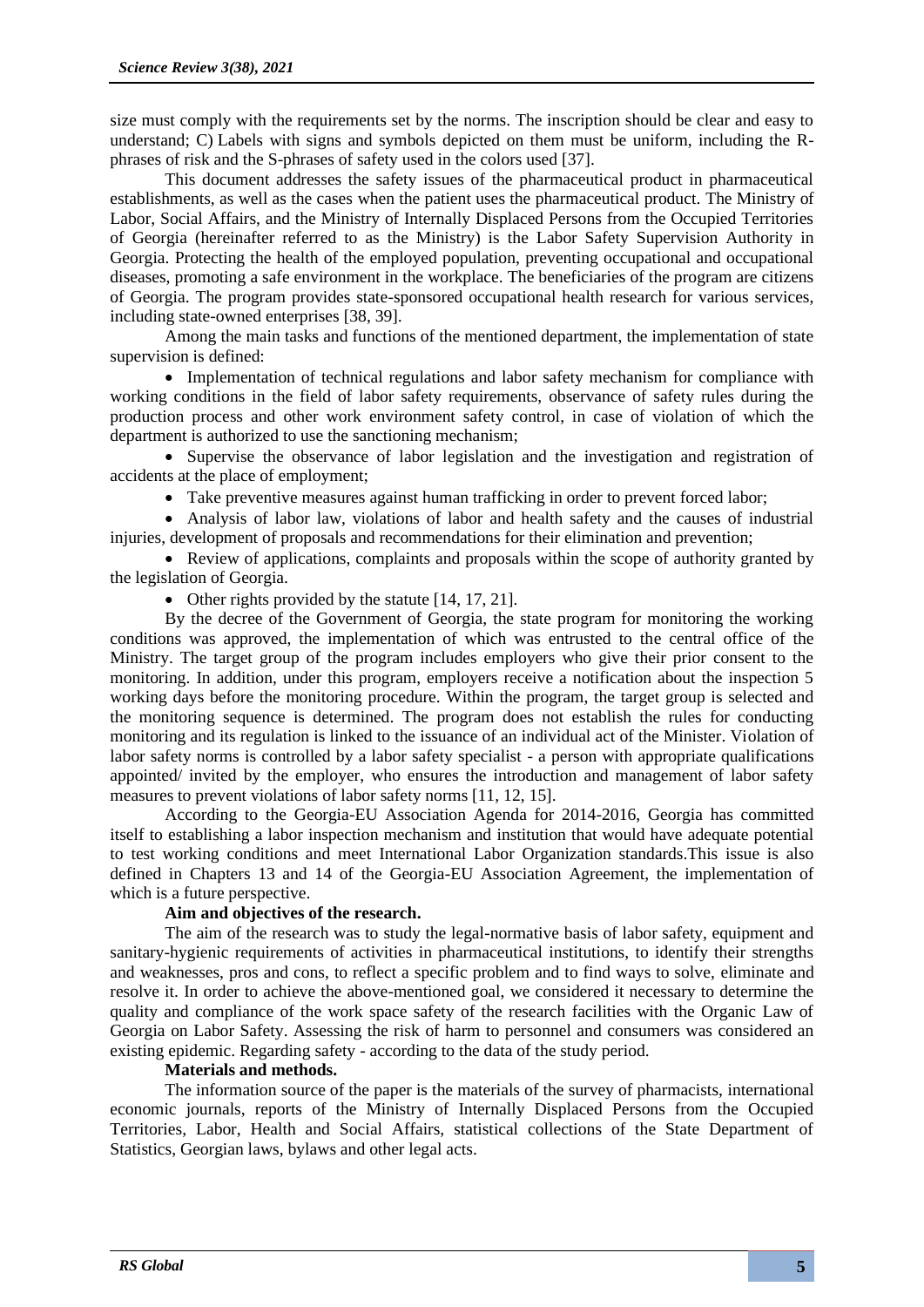size must comply with the requirements set by the norms. The inscription should be clear and easy to understand; C) Labels with signs and symbols depicted on them must be uniform, including the Rphrases of risk and the S-phrases of safety used in the colors used [37].

This document addresses the safety issues of the pharmaceutical product in pharmaceutical establishments, as well as the cases when the patient uses the pharmaceutical product. The Ministry of Labor, Social Affairs, and the Ministry of Internally Displaced Persons from the Occupied Territories of Georgia (hereinafter referred to as the Ministry) is the Labor Safety Supervision Authority in Georgia. Protecting the health of the employed population, preventing occupational and occupational diseases, promoting a safe environment in the workplace. The beneficiaries of the program are citizens of Georgia. The program provides state-sponsored occupational health research for various services, including state-owned enterprises [38, 39].

Among the main tasks and functions of the mentioned department, the implementation of state supervision is defined:

• Implementation of technical regulations and labor safety mechanism for compliance with working conditions in the field of labor safety requirements, observance of safety rules during the production process and other work environment safety control, in case of violation of which the department is authorized to use the sanctioning mechanism;

• Supervise the observance of labor legislation and the investigation and registration of accidents at the place of employment;

• Take preventive measures against human trafficking in order to prevent forced labor;

• Analysis of labor law, violations of labor and health safety and the causes of industrial injuries, development of proposals and recommendations for their elimination and prevention;

• Review of applications, complaints and proposals within the scope of authority granted by the legislation of Georgia.

• Other rights provided by the statute [14, 17, 21].

By the decree of the Government of Georgia, the state program for monitoring the working conditions was approved, the implementation of which was entrusted to the central office of the Ministry. The target group of the program includes employers who give their prior consent to the monitoring. In addition, under this program, employers receive a notification about the inspection 5 working days before the monitoring procedure. Within the program, the target group is selected and the monitoring sequence is determined. The program does not establish the rules for conducting monitoring and its regulation is linked to the issuance of an individual act of the Minister. Violation of labor safety norms is controlled by a labor safety specialist - a person with appropriate qualifications appointed/ invited by the employer, who ensures the introduction and management of labor safety measures to prevent violations of labor safety norms [11, 12, 15].

According to the Georgia-EU Association Agenda for 2014-2016, Georgia has committed itself to establishing a labor inspection mechanism and institution that would have adequate potential to test working conditions and meet International Labor Organization standards.This issue is also defined in Chapters 13 and 14 of the Georgia-EU Association Agreement, the implementation of which is a future perspective.

# **Aim and objectives of the research.**

The aim of the research was to study the legal-normative basis of labor safety, equipment and sanitary-hygienic requirements of activities in pharmaceutical institutions, to identify their strengths and weaknesses, pros and cons, to reflect a specific problem and to find ways to solve, eliminate and resolve it. In order to achieve the above-mentioned goal, we considered it necessary to determine the quality and compliance of the work space safety of the research facilities with the Organic Law of Georgia on Labor Safety. Assessing the risk of harm to personnel and consumers was considered an existing epidemic. Regarding safety - according to the data of the study period.

## **Materials and methods.**

The information source of the paper is the materials of the survey of pharmacists, international economic journals, reports of the Ministry of Internally Displaced Persons from the Occupied Territories, Labor, Health and Social Affairs, statistical collections of the State Department of Statistics, Georgian laws, bylaws and other legal acts.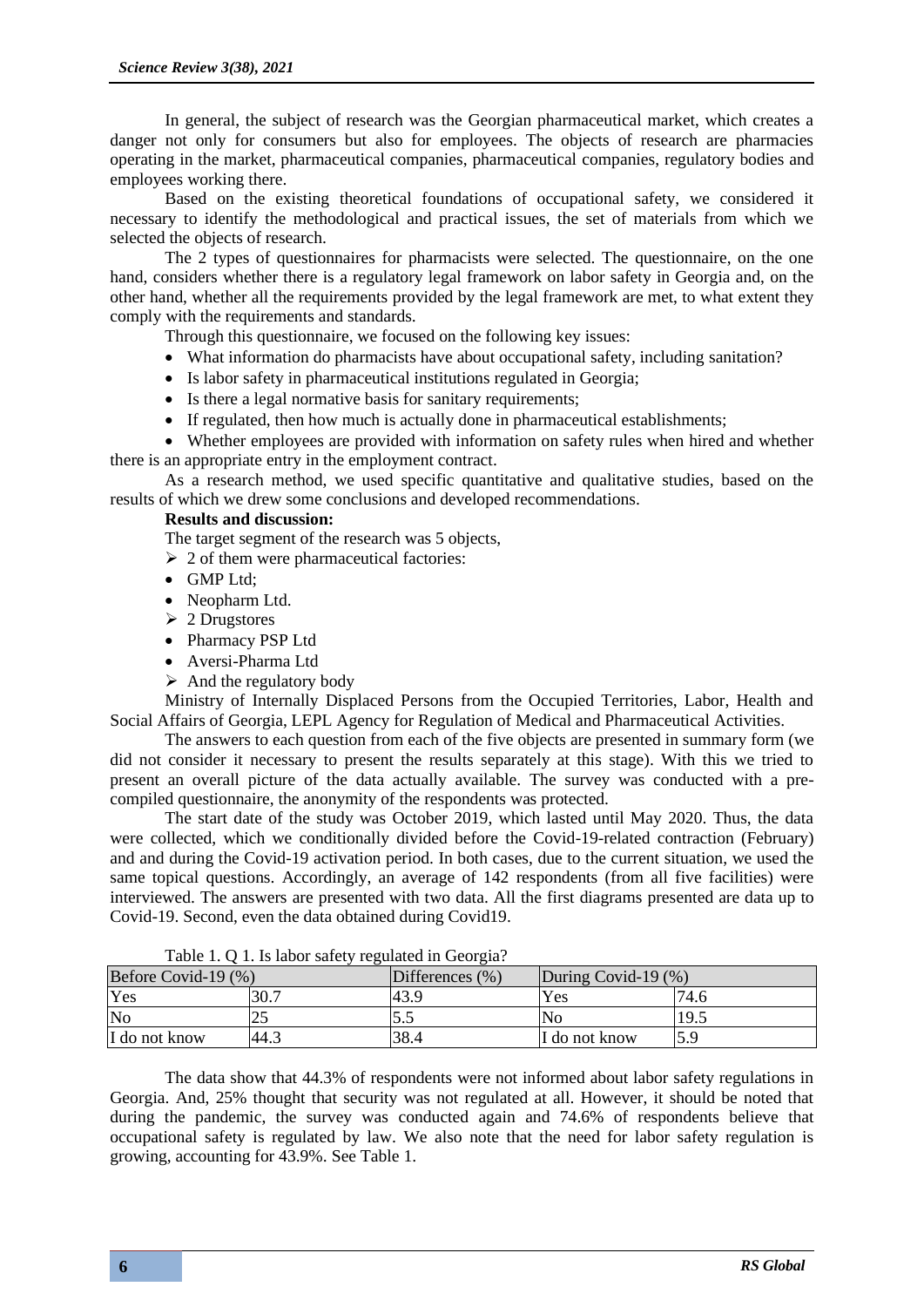In general, the subject of research was the Georgian pharmaceutical market, which creates a danger not only for consumers but also for employees. The objects of research are pharmacies operating in the market, pharmaceutical companies, pharmaceutical companies, regulatory bodies and employees working there.

Based on the existing theoretical foundations of occupational safety, we considered it necessary to identify the methodological and practical issues, the set of materials from which we selected the objects of research.

The 2 types of questionnaires for pharmacists were selected. The questionnaire, on the one hand, considers whether there is a regulatory legal framework on labor safety in Georgia and, on the other hand, whether all the requirements provided by the legal framework are met, to what extent they comply with the requirements and standards.

Through this questionnaire, we focused on the following key issues:

- What information do pharmacists have about occupational safety, including sanitation?
- Is labor safety in pharmaceutical institutions regulated in Georgia;
- Is there a legal normative basis for sanitary requirements;
- If regulated, then how much is actually done in pharmaceutical establishments;

• Whether employees are provided with information on safety rules when hired and whether there is an appropriate entry in the employment contract.

As a research method, we used specific quantitative and qualitative studies, based on the results of which we drew some conclusions and developed recommendations.

## **Results and discussion:**

The target segment of the research was 5 objects,

 $\geq 2$  of them were pharmaceutical factories:

- GMP Ltd;
- Neopharm Ltd.
- ➢ 2 Drugstores
- Pharmacy PSP Ltd
- Aversi-Pharma Ltd
- $\triangleright$  And the regulatory body

Ministry of Internally Displaced Persons from the Occupied Territories, Labor, Health and Social Affairs of Georgia, LEPL Agency for Regulation of Medical and Pharmaceutical Activities.

The answers to each question from each of the five objects are presented in summary form (we did not consider it necessary to present the results separately at this stage). With this we tried to present an overall picture of the data actually available. The survey was conducted with a precompiled questionnaire, the anonymity of the respondents was protected.

The start date of the study was October 2019, which lasted until May 2020. Thus, the data were collected, which we conditionally divided before the Covid-19-related contraction (February) and and during the Covid-19 activation period. In both cases, due to the current situation, we used the same topical questions. Accordingly, an average of 142 respondents (from all five facilities) were interviewed. The answers are presented with two data. All the first diagrams presented are data up to Covid-19. Second, even the data obtained during Covid19.

| Table 1. O 1. Is haber safety regulated in Occidia. |          |                 |                        |      |  |  |
|-----------------------------------------------------|----------|-----------------|------------------------|------|--|--|
| Before Covid-19 (%)                                 |          | Differences (%) | During Covid-19 $(\%)$ |      |  |  |
| Yes                                                 | $\Omega$ | 43.9            | Yes                    | 74.6 |  |  |
| $\overline{\text{No}}$                              |          | ت ر             | N <sub>0</sub>         | 19.5 |  |  |
| I do not know                                       | 44.1     | 38.4            | I do not know          |      |  |  |

Table 1. Q 1. Is labor safety regulated in Georgia?

The data show that 44.3% of respondents were not informed about labor safety regulations in Georgia. And, 25% thought that security was not regulated at all. However, it should be noted that during the pandemic, the survey was conducted again and 74.6% of respondents believe that occupational safety is regulated by law. We also note that the need for labor safety regulation is growing, accounting for 43.9%. See Table 1.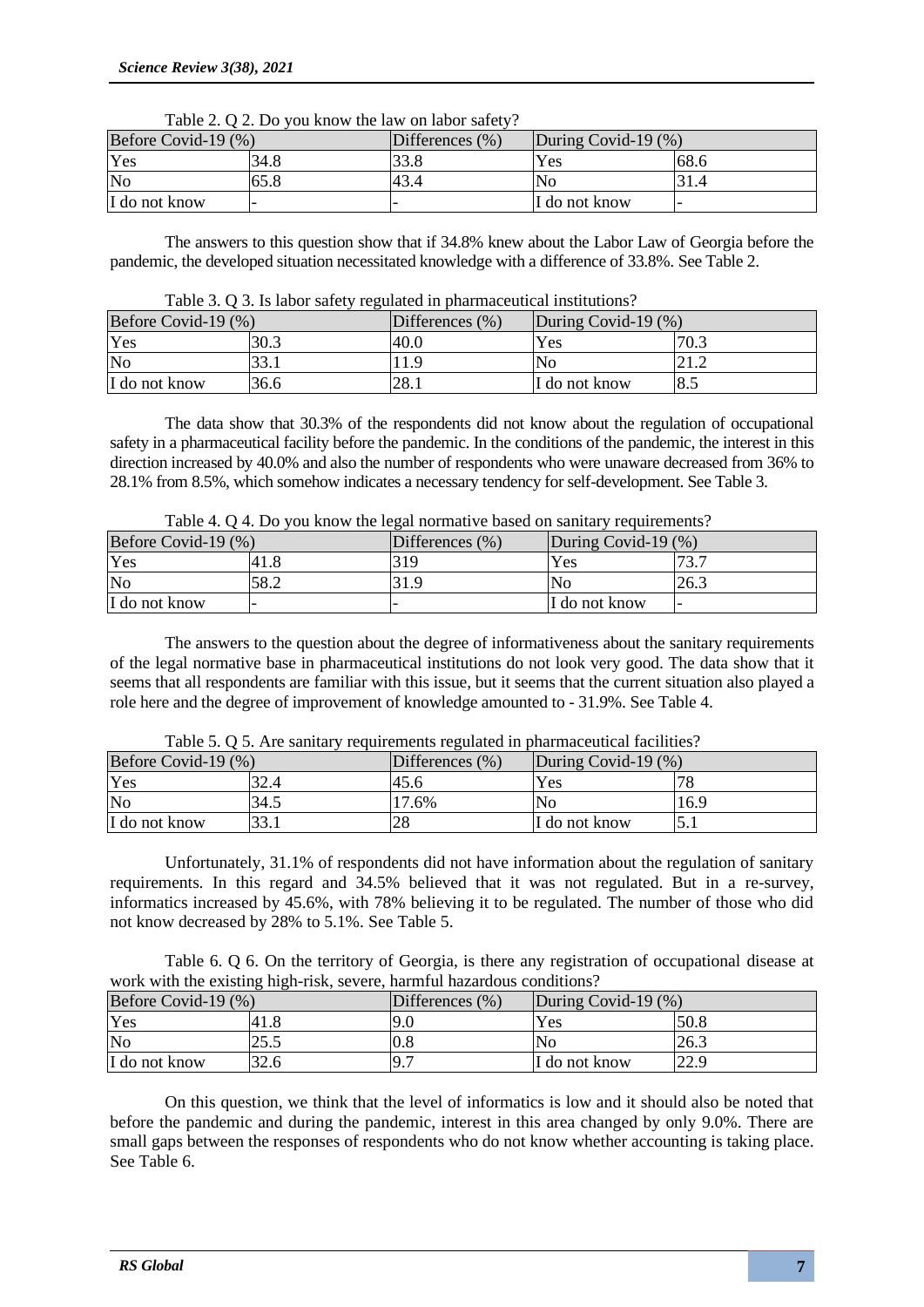|                     | $10010 - 1000$ $-1000$ $-1000$ $-1000$ $-1000$ $-1000$ |                     |                     |      |  |  |  |
|---------------------|--------------------------------------------------------|---------------------|---------------------|------|--|--|--|
| Before Covid-19 (%) |                                                        | Differences $(\% )$ | During Covid-19 (%) |      |  |  |  |
| Yes                 | 34.8                                                   | 33.8                | <b>Yes</b>          | 68.6 |  |  |  |
| No                  | 65.8                                                   |                     | No                  |      |  |  |  |
| I do not know       |                                                        |                     | I do not know       |      |  |  |  |

Table 2.  $\Omega$  2. Do you know the law on labor safety?

The answers to this question show that if 34.8% knew about the Labor Law of Georgia before the pandemic, the developed situation necessitated knowledge with a difference of 33.8%. See Table 2.

|  |  |  | Table 3. Q 3. Is labor safety regulated in pharmaceutical institutions? |  |
|--|--|--|-------------------------------------------------------------------------|--|
|--|--|--|-------------------------------------------------------------------------|--|

| Before Covid-19 $(\%)$ |      | Differences (%) | During Covid-19 (%) |      |
|------------------------|------|-----------------|---------------------|------|
| Yes                    | 30.3 | 40.0            | Yes                 | 70.3 |
| No                     | າາ   | .1.9            | No                  | 41.4 |
| I do not know          | 36.6 | 28.1            | I do not know       | 8.5  |

The data show that 30.3% of the respondents did not know about the regulation of occupational safety in a pharmaceutical facility before the pandemic. In the conditions of the pandemic, the interest in this direction increased by 40.0% and also the number of respondents who were unaware decreased from 36% to 28.1% from 8.5%, which somehow indicates a necessary tendency for self-development. See Table 3.

| Before Covid-19 (%) |      | Differences $(\% )$ | During Covid-19 $(\%)$ |      |
|---------------------|------|---------------------|------------------------|------|
| Yes                 | 41.8 | 319                 | $\operatorname{Yes}$   |      |
| No                  | 58.2 | 31.9                | <b>No</b>              | 26.3 |
| I do not know       |      |                     | I do not know          |      |

The answers to the question about the degree of informativeness about the sanitary requirements of the legal normative base in pharmaceutical institutions do not look very good. The data show that it seems that all respondents are familiar with this issue, but it seems that the current situation also played a role here and the degree of improvement of knowledge amounted to - 31.9%. See Table 4.

|                        |      | $10000$ $\sigma$ . O $\sigma$ , the balliary requirements required in sharmaceuteur racinties, |                        |      |
|------------------------|------|------------------------------------------------------------------------------------------------|------------------------|------|
| Before Covid-19 $(\%)$ |      | Differences $(\% )$                                                                            | During Covid-19 $(\%)$ |      |
| Yes                    | 32.4 |                                                                                                | Yes                    |      |
| N <sub>0</sub>         | 34.1 | .6%                                                                                            | N <sub>0</sub>         | 16.9 |
| I do not know          | 33.1 | 28                                                                                             | I do not know          |      |

Table 5. Q 5. Are sanitary requirements regulated in pharmaceutical facilities?

Unfortunately, 31.1% of respondents did not have information about the regulation of sanitary requirements. In this regard and 34.5% believed that it was not regulated. But in a re-survey, informatics increased by 45.6%, with 78% believing it to be regulated. The number of those who did not know decreased by 28% to 5.1%. See Table 5.

Table 6. Q 6. On the territory of Georgia, is there any registration of occupational disease at work with the existing high-risk, severe, harmful hazardous conditions?

| Before Covid-19 (%) |        | Differences $(\% )$ | During Covid-19 (%) |      |
|---------------------|--------|---------------------|---------------------|------|
| Yes                 | 41.8   | 9.0                 | <b>Yes</b>          | 50.8 |
| No                  | ل در ک | 0.8                 | No                  | 26.3 |
| I do not know       | 32.6   | <b>∕.</b>           | II do not know      | ററ റ |

On this question, we think that the level of informatics is low and it should also be noted that before the pandemic and during the pandemic, interest in this area changed by only 9.0%. There are small gaps between the responses of respondents who do not know whether accounting is taking place. See Table 6.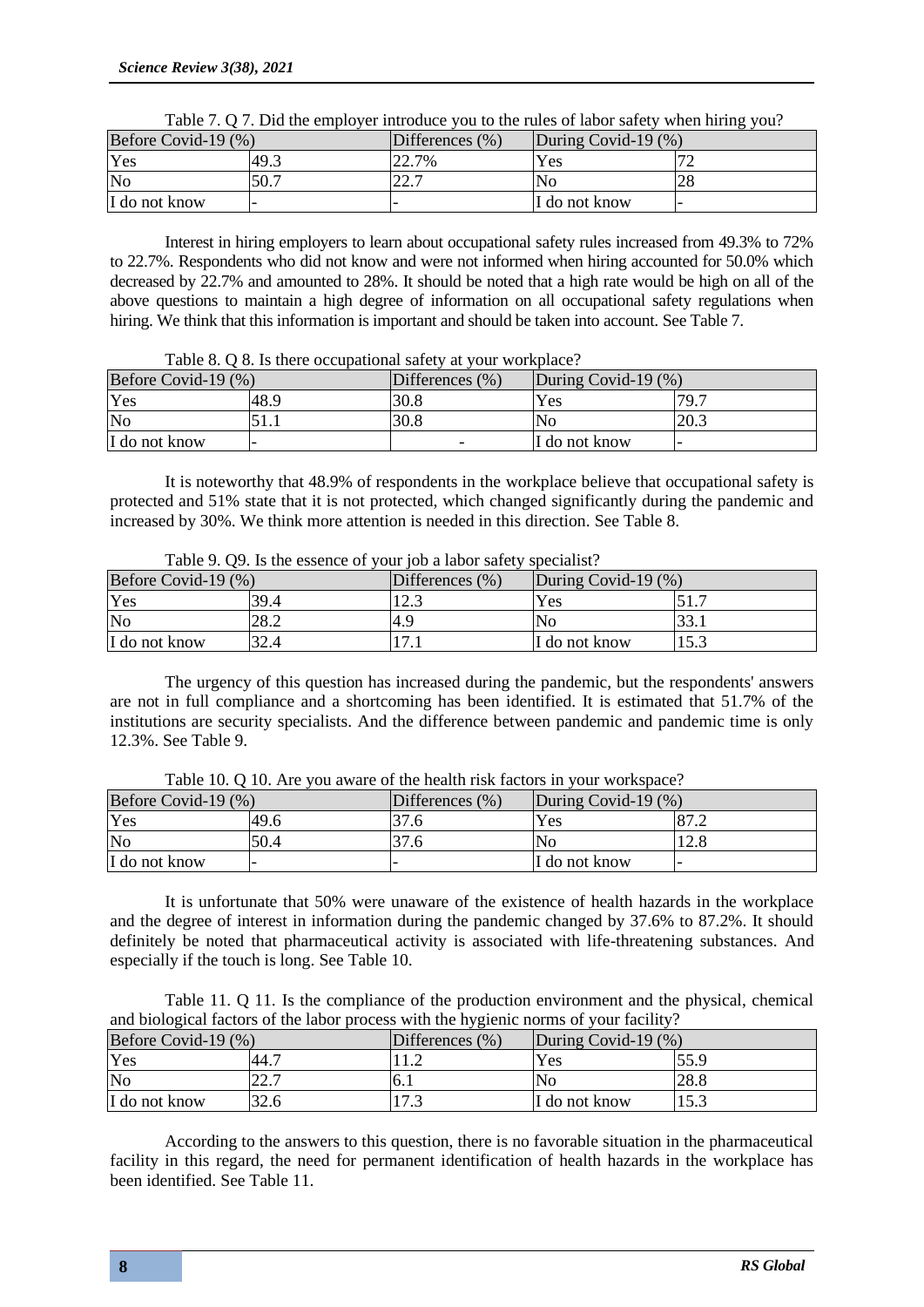| Before Covid-19 (%) |      | Differences $(\% )$ | During Covid-19 $(\%)$ |  |
|---------------------|------|---------------------|------------------------|--|
| Yes                 | 49.3 | 22.7%               | Yes                    |  |
| No                  | 50.7 | ד רר<br>44.1        | No                     |  |
| I do not know       |      |                     | I do not know          |  |

Interest in hiring employers to learn about occupational safety rules increased from 49.3% to 72% to 22.7%. Respondents who did not know and were not informed when hiring accounted for 50.0% which decreased by 22.7% and amounted to 28%. It should be noted that a high rate would be high on all of the above questions to maintain a high degree of information on all occupational safety regulations when hiring. We think that this information is important and should be taken into account. See Table 7.

Table 8. Q 8. Is there occupational safety at your workplace?

| Before Covid-19 $(\%)$ |      | Differences $(\% )$      | During Covid-19 $(\%)$ |      |
|------------------------|------|--------------------------|------------------------|------|
| Yes                    | 48.9 | 30.8                     | Yes                    | 79.7 |
| No                     | .    | 30.8                     | No                     | 20.3 |
| I do not know          |      | $\overline{\phantom{0}}$ | I do not know          |      |

It is noteworthy that 48.9% of respondents in the workplace believe that occupational safety is protected and 51% state that it is not protected, which changed significantly during the pandemic and increased by 30%. We think more attention is needed in this direction. See Table 8.

| Table 7. O2. IS the essence of your job a fabor safety specialist: |      |                     |                        |      |  |  |
|--------------------------------------------------------------------|------|---------------------|------------------------|------|--|--|
| Before Covid-19 (%)                                                |      | Differences $(\% )$ | During Covid-19 $(\%)$ |      |  |  |
| Yes                                                                | 39.4 | 12.3                | Yes                    |      |  |  |
| No                                                                 | 28.2 | 14.9                | lΝo                    | JJ.I |  |  |
| I do not know                                                      | 32.4 |                     | I do not know          | 15.3 |  |  |

Table 9. Q9. Is the essence of your job a labor safety specialist?

The urgency of this question has increased during the pandemic, but the respondents' answers are not in full compliance and a shortcoming has been identified. It is estimated that 51.7% of the institutions are security specialists. And the difference between pandemic and pandemic time is only 12.3%. See Table 9.

| Before Covid-19 $(\%)$ |      | Differences $(\% )$ | During Covid-19 $(\%)$ |                 |
|------------------------|------|---------------------|------------------------|-----------------|
| Yes                    | 49.6 |                     | Yes                    | $\overline{O7}$ |
| No                     | 50.4 |                     | ΙNο                    | 12.C            |
| I do not know          |      |                     | I do not know          |                 |

Table 10. Q 10. Are you aware of the health risk factors in your workspace?

It is unfortunate that 50% were unaware of the existence of health hazards in the workplace and the degree of interest in information during the pandemic changed by 37.6% to 87.2%. It should definitely be noted that pharmaceutical activity is associated with life-threatening substances. And especially if the touch is long. See Table 10.

Table 11. Q 11. Is the compliance of the production environment and the physical, chemical and biological factors of the labor process with the hygienic norms of your facility?

|                     | WILL CIOICELLED INTERNATIONAL COMPANY INTO THE COMPANY IS THE MILE IN ALCOHOLY OF |                     |                        |      |  |  |  |
|---------------------|-----------------------------------------------------------------------------------|---------------------|------------------------|------|--|--|--|
| Before Covid-19 (%) |                                                                                   | Differences $(\% )$ | During Covid-19 $(\%)$ |      |  |  |  |
| Yes                 | -44. .                                                                            |                     | Yes                    | 55.9 |  |  |  |
| No                  | ד רר<br>44.1                                                                      | 0.1                 | No                     | 28.8 |  |  |  |
| I do not know       | 32.6                                                                              | ل د ا               | II do not know         |      |  |  |  |

According to the answers to this question, there is no favorable situation in the pharmaceutical facility in this regard, the need for permanent identification of health hazards in the workplace has been identified. See Table 11.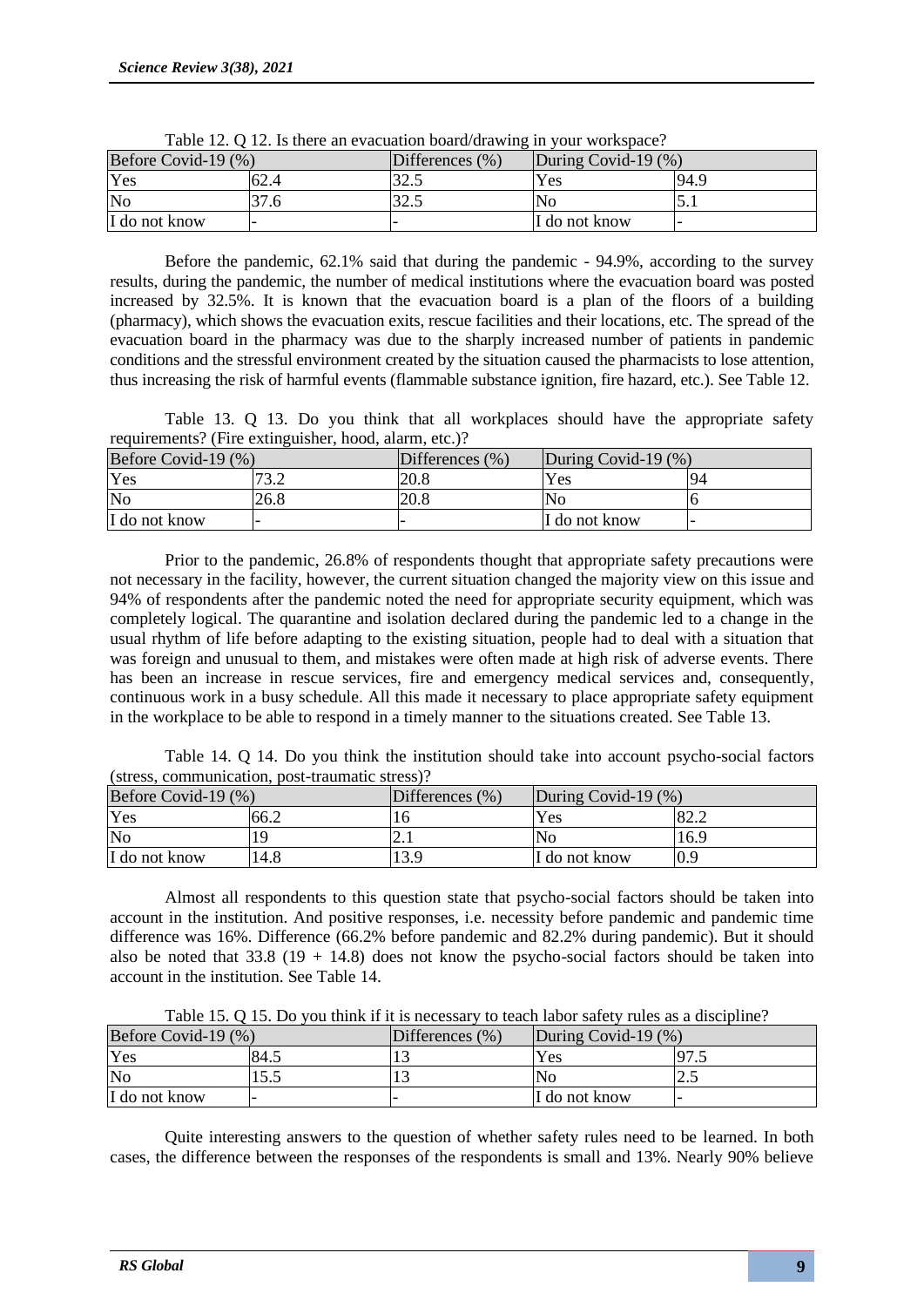|                     | $1.0010$ $1.00$ $1.0010$ $1.0010$ $1.0000$ $1.0000$ $1.0000$ $1.0000$ $1.0000$ $1.0000$ $1.0000$ |                     |                        |      |  |  |  |
|---------------------|--------------------------------------------------------------------------------------------------|---------------------|------------------------|------|--|--|--|
| Before Covid-19 (%) |                                                                                                  | Differences $(\% )$ | During Covid-19 $(\%)$ |      |  |  |  |
| Yes                 | 62.4                                                                                             | ل.، کەل             | Yes                    | 94.9 |  |  |  |
| No                  |                                                                                                  | ل.، کە ب            | Nο                     |      |  |  |  |
| I do not know       |                                                                                                  |                     | I do not know          |      |  |  |  |

Table 12. Q 12. Is there an evacuation board/drawing in your workspace?

Before the pandemic, 62.1% said that during the pandemic - 94.9%, according to the survey results, during the pandemic, the number of medical institutions where the evacuation board was posted increased by 32.5%. It is known that the evacuation board is a plan of the floors of a building (pharmacy), which shows the evacuation exits, rescue facilities and their locations, etc. The spread of the evacuation board in the pharmacy was due to the sharply increased number of patients in pandemic conditions and the stressful environment created by the situation caused the pharmacists to lose attention, thus increasing the risk of harmful events (flammable substance ignition, fire hazard, etc.). See Table 12.

Table 13. Q 13. Do you think that all workplaces should have the appropriate safety requirements? (Fire extinguisher, hood, alarm, etc.)?

| Before Covid-19 (%) |      | Differences $(\% )$ | During Covid-19 $(\%)$ |       |
|---------------------|------|---------------------|------------------------|-------|
| Yes                 | ר רד | 20.8                | Yes                    | $Q_4$ |
| $\overline{\rm No}$ | 26.8 | 20.8                | No                     |       |
| I do not know       |      |                     | I do not know          |       |

Prior to the pandemic, 26.8% of respondents thought that appropriate safety precautions were not necessary in the facility, however, the current situation changed the majority view on this issue and 94% of respondents after the pandemic noted the need for appropriate security equipment, which was completely logical. The quarantine and isolation declared during the pandemic led to a change in the usual rhythm of life before adapting to the existing situation, people had to deal with a situation that was foreign and unusual to them, and mistakes were often made at high risk of adverse events. There has been an increase in rescue services, fire and emergency medical services and, consequently, continuous work in a busy schedule. All this made it necessary to place appropriate safety equipment in the workplace to be able to respond in a timely manner to the situations created. See Table 13.

Table 14. Q 14. Do you think the institution should take into account psycho-social factors (stress, communication, post-traumatic stress)?

| Before Covid-19 (%) |      | Differences $(\% )$ | During Covid-19 $(\%)$ |                                  |
|---------------------|------|---------------------|------------------------|----------------------------------|
| Yes                 | 66.2 |                     | Yes                    | $\circ$ $\circ$<br>$O\angle 0.4$ |
| No                  |      | <u>.</u>            | 'No                    | 16.9                             |
| I do not know       | 14.8 | 13.9                | II do not know         | 0.9                              |

Almost all respondents to this question state that psycho-social factors should be taken into account in the institution. And positive responses, i.e. necessity before pandemic and pandemic time difference was 16%. Difference (66.2% before pandemic and 82.2% during pandemic). But it should also be noted that  $33.8$  (19 + 14.8) does not know the psycho-social factors should be taken into account in the institution. See Table 14.

| Before Covid-19 (%) |       | Differences (%) | During Covid-19 $(\%)$ |     |
|---------------------|-------|-----------------|------------------------|-----|
| Yes                 | -84.5 |                 | Yes                    | ن ر |
| No                  | ن د ب |                 | No                     | ن ک |
| I do not know       |       |                 | I do not know          |     |

Table 15. Q 15. Do you think if it is necessary to teach labor safety rules as a discipline?

Quite interesting answers to the question of whether safety rules need to be learned. In both cases, the difference between the responses of the respondents is small and 13%. Nearly 90% believe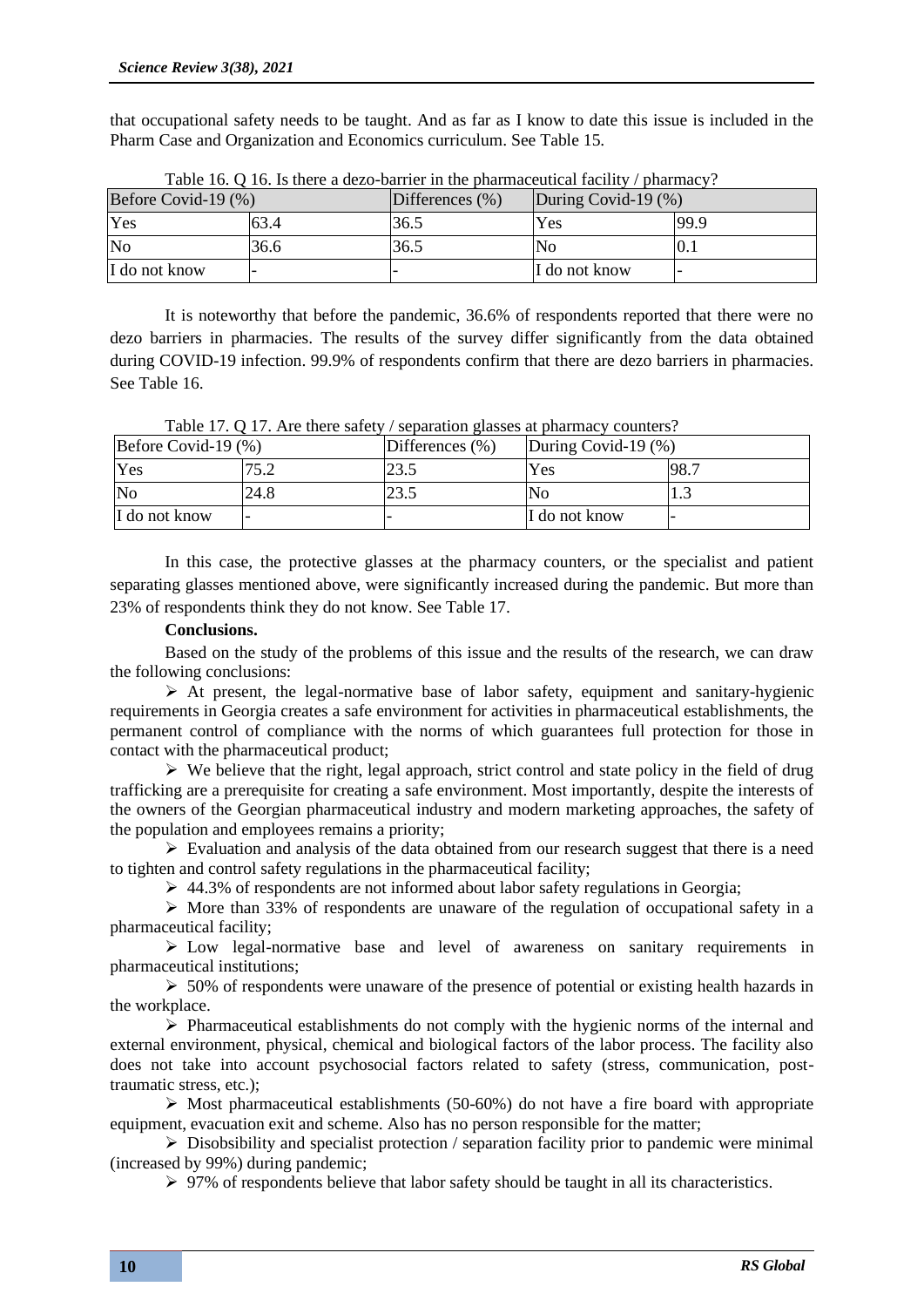that occupational safety needs to be taught. And as far as I know to date this issue is included in the Pharm Case and Organization and Economics curriculum. See Table 15.

| Before Covid-19 (%) |      | Differences $(\%)$ | During Covid-19 $(\%)$ |      |
|---------------------|------|--------------------|------------------------|------|
| Yes                 | 63.4 | 36.5               | Yes                    | 99.9 |
| $\overline{\rm No}$ | 36.6 | 36.5               | No                     | V. I |
| I do not know       |      |                    | I do not know          |      |

Table 16. Q 16. Is there a dezo-barrier in the pharmaceutical facility / pharmacy?

It is noteworthy that before the pandemic, 36.6% of respondents reported that there were no dezo barriers in pharmacies. The results of the survey differ significantly from the data obtained during COVID-19 infection. 99.9% of respondents confirm that there are dezo barriers in pharmacies. See Table 16.

| Before Covid-19 $(\%)$ |      | Differences (%) | During Covid-19 $(\%)$ |      |
|------------------------|------|-----------------|------------------------|------|
| Yes                    | 75 7 | 23.5            | Yes                    | 98.7 |
| N <sub>0</sub>         | 24.8 | 23.5            | lΝo                    |      |
| I do not know          |      |                 | I do not know          |      |

In this case, the protective glasses at the pharmacy counters, or the specialist and patient separating glasses mentioned above, were significantly increased during the pandemic. But more than 23% of respondents think they do not know. See Table 17.

# **Conclusions.**

Based on the study of the problems of this issue and the results of the research, we can draw the following conclusions:

 $\triangleright$  At present, the legal-normative base of labor safety, equipment and sanitary-hygienic requirements in Georgia creates a safe environment for activities in pharmaceutical establishments, the permanent control of compliance with the norms of which guarantees full protection for those in contact with the pharmaceutical product;

➢ We believe that the right, legal approach, strict control and state policy in the field of drug trafficking are a prerequisite for creating a safe environment. Most importantly, despite the interests of the owners of the Georgian pharmaceutical industry and modern marketing approaches, the safety of the population and employees remains a priority;

 $\triangleright$  Evaluation and analysis of the data obtained from our research suggest that there is a need to tighten and control safety regulations in the pharmaceutical facility;

 $\geq 44.3\%$  of respondents are not informed about labor safety regulations in Georgia;

 $\triangleright$  More than 33% of respondents are unaware of the regulation of occupational safety in a pharmaceutical facility;

➢ Low legal-normative base and level of awareness on sanitary requirements in pharmaceutical institutions;

 $\geq 50\%$  of respondents were unaware of the presence of potential or existing health hazards in the workplace.

➢ Pharmaceutical establishments do not comply with the hygienic norms of the internal and external environment, physical, chemical and biological factors of the labor process. The facility also does not take into account psychosocial factors related to safety (stress, communication, posttraumatic stress, etc.);

 $\triangleright$  Most pharmaceutical establishments (50-60%) do not have a fire board with appropriate equipment, evacuation exit and scheme. Also has no person responsible for the matter;

 $\triangleright$  Disobsibility and specialist protection / separation facility prior to pandemic were minimal (increased by 99%) during pandemic;

 $\triangleright$  97% of respondents believe that labor safety should be taught in all its characteristics.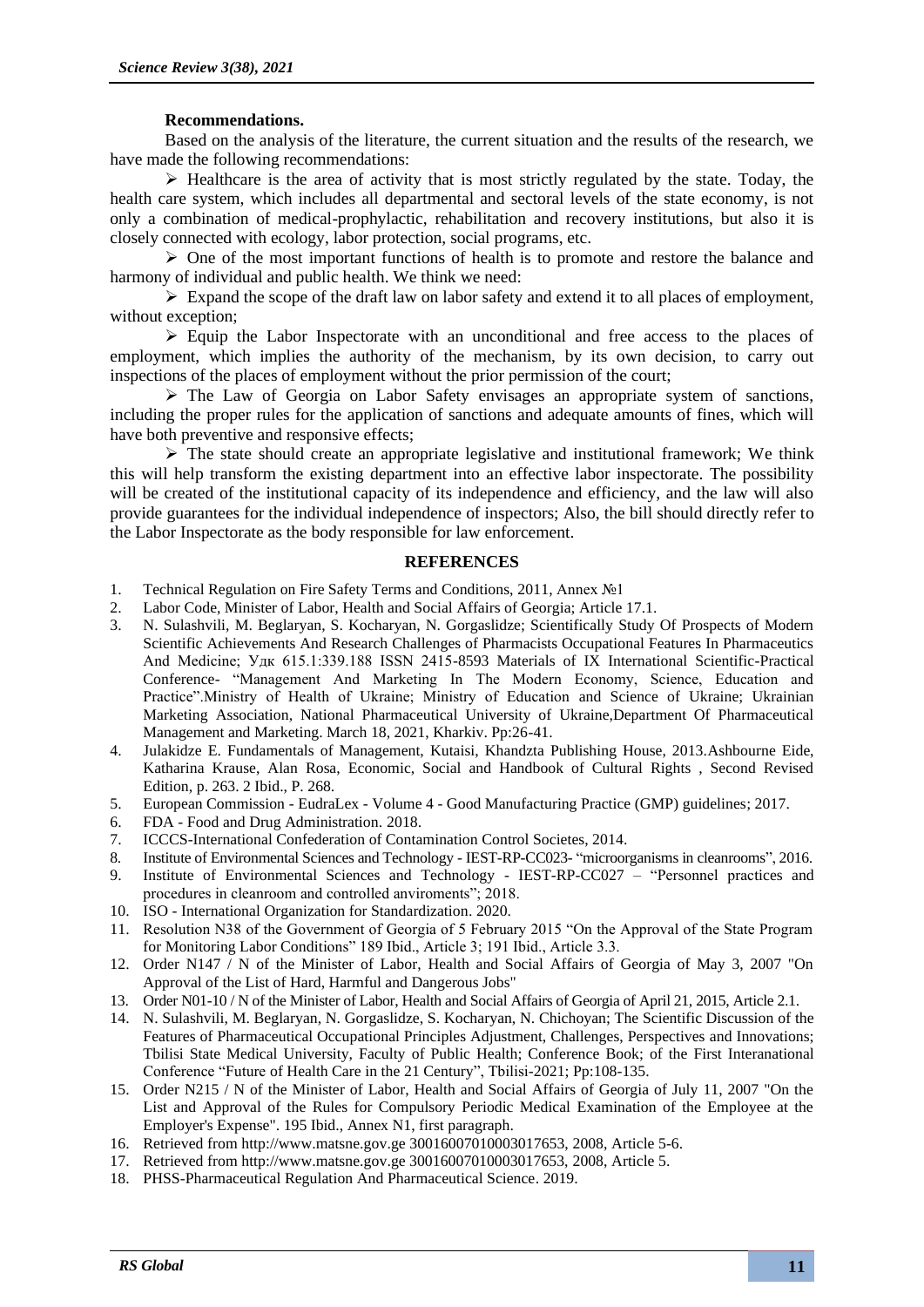## **Recommendations.**

Based on the analysis of the literature, the current situation and the results of the research, we have made the following recommendations:

➢ Healthcare is the area of activity that is most strictly regulated by the state. Today, the health care system, which includes all departmental and sectoral levels of the state economy, is not only a combination of medical-prophylactic, rehabilitation and recovery institutions, but also it is closely connected with ecology, labor protection, social programs, etc.

 $\triangleright$  One of the most important functions of health is to promote and restore the balance and harmony of individual and public health. We think we need:

 $\triangleright$  Expand the scope of the draft law on labor safety and extend it to all places of employment, without exception;

➢ Equip the Labor Inspectorate with an unconditional and free access to the places of employment, which implies the authority of the mechanism, by its own decision, to carry out inspections of the places of employment without the prior permission of the court;

➢ The Law of Georgia on Labor Safety envisages an appropriate system of sanctions, including the proper rules for the application of sanctions and adequate amounts of fines, which will have both preventive and responsive effects;

➢ The state should create an appropriate legislative and institutional framework; We think this will help transform the existing department into an effective labor inspectorate. The possibility will be created of the institutional capacity of its independence and efficiency, and the law will also provide guarantees for the individual independence of inspectors; Also, the bill should directly refer to the Labor Inspectorate as the body responsible for law enforcement.

#### **REFERENCES**

- 1. Technical Regulation on Fire Safety Terms and Conditions, 2011, Annex №1
- 2. Labor Code, Minister of Labor, Health and Social Affairs of Georgia; Article 17.1.
- 3. N. Sulashvili, M. Beglaryan, S. Kocharyan, N. Gorgaslidze; Scientifically Study Of Prospects of Modern Scientific Achievements And Research Challenges of Pharmacists Occupational Features In Pharmaceutics And Medicine; Удк 615.1:339.188 ISSN 2415-8593 Materials of IX International Scientific-Practical Conference- "Management And Marketing In The Modern Economy, Science, Education and Practice".Ministry of Health of Ukraine; Ministry of Education and Science of Ukraine; Ukrainian Marketing Association, National Pharmaceutical University of Ukraine,Department Of Pharmaceutical Management and Marketing. March 18, 2021, Kharkiv. Pp:26-41.
- 4. Julakidze E. Fundamentals of Management, Kutaisi, Khandzta Publishing House, 2013[.Ashbourne Eide,](https://www.google.com/search?biw=958&bih=959&q=19.+Ashbourne+Eide,+Katharina+Krause,+Alan+Rosa,+Economic,+Social+and+Handbook+of+Cultural+Rights+,+Second+Revised+Edition,+p.+263.+2+Ibid.,+P.+268.&sa=X&ved=2ahUKEwi-6fKe2tXsAhWRyoUKHW7nCsgQgwN6BAgGEAE)  [Katharina Krause, Alan Rosa, Economic, Social and Handbook of Cultural Rights , Second Revised](https://www.google.com/search?biw=958&bih=959&q=19.+Ashbourne+Eide,+Katharina+Krause,+Alan+Rosa,+Economic,+Social+and+Handbook+of+Cultural+Rights+,+Second+Revised+Edition,+p.+263.+2+Ibid.,+P.+268.&sa=X&ved=2ahUKEwi-6fKe2tXsAhWRyoUKHW7nCsgQgwN6BAgGEAE)  [Edition, p. 263. 2 Ibid., P. 268.](https://www.google.com/search?biw=958&bih=959&q=19.+Ashbourne+Eide,+Katharina+Krause,+Alan+Rosa,+Economic,+Social+and+Handbook+of+Cultural+Rights+,+Second+Revised+Edition,+p.+263.+2+Ibid.,+P.+268.&sa=X&ved=2ahUKEwi-6fKe2tXsAhWRyoUKHW7nCsgQgwN6BAgGEAE)
- 5. European Commission EudraLex Volume 4 Good Manufacturing Practice (GMP) guidelines; 2017.
- 6. FDA Food and Drug Administration. 2018.
- 7. ICCCS-International Confederation of Contamination Control Societes, 2014.
- 8. Institute of Environmental Sciences and Technology IEST-RP-CC023- "microorganisms in cleanrooms", 2016.
- 9. Institute of Environmental Sciences and Technology IEST-RP-CC027 "Personnel practices and procedures in cleanroom and controlled anviroments"; 2018.
- 10. ISO International Organization for Standardization. 2020.
- 11. Resolution N38 of the Government of Georgia of 5 February 2015 "On the Approval of the State Program for Monitoring Labor Conditions" 189 Ibid., Article 3; 191 Ibid., Article 3.3.
- 12. Order N147 / N of the Minister of Labor, Health and Social Affairs of Georgia of May 3, 2007 "On Approval of the List of Hard, Harmful and Dangerous Jobs"
- 13. Order N01-10 / N of the Minister of Labor, Health and Social Affairs of Georgia of April 21, 2015, Article 2.1.
- 14. N. Sulashvili, M. Beglaryan, N. Gorgaslidze, S. Kocharyan, N. Chichoyan; The Scientific Discussion of the Features of Pharmaceutical Occupational Principles Adjustment, Challenges, Perspectives and Innovations; Tbilisi State Medical University, Faculty of Public Health; Conference Book; of the First Interanational Conference "Future of Health Care in the 21 Century", Tbilisi-2021; Pp:108-135.
- 15. Order N215 / N of the Minister of Labor, Health and Social Affairs of Georgia of July 11, 2007 "On the List and Approval of the Rules for Compulsory Periodic Medical Examination of the Employee at the Employer's Expense". 195 Ibid., Annex N1, first paragraph.
- 16. Retrieved from http://www.matsne.gov.ge 30016007010003017653, 2008, Article 5-6.
- 17. Retrieved from http://www.matsne.gov.ge 30016007010003017653, 2008, Article 5.
- 18. PHSS-Pharmaceutical Regulation And Pharmaceutical Science. 2019.